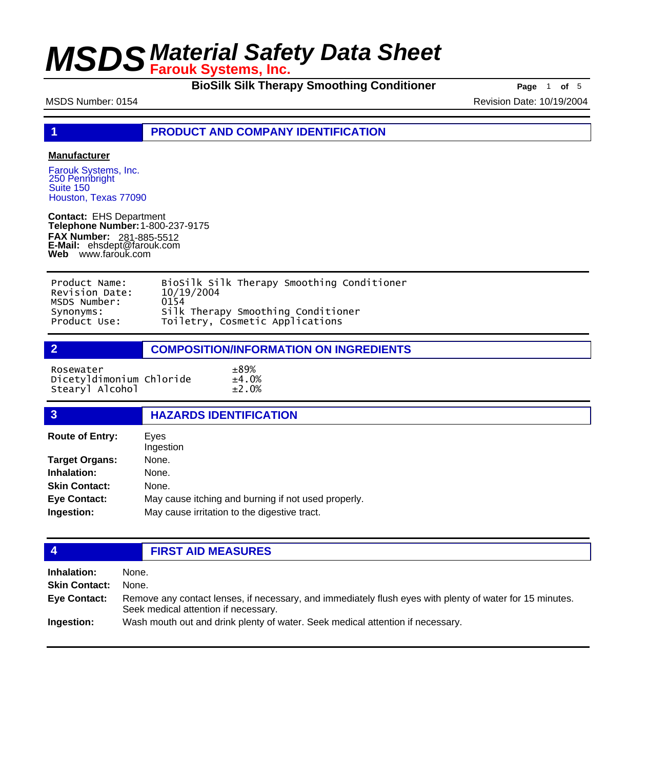**BioSilk Silk Therapy Smoothing Conditioner Page** 1 of 5

MSDS Number: 0154 Revision Date: 10/19/2004

**1 PRODUCT AND COMPANY IDENTIFICATION**

### **Manufacturer**

Farouk Systems, Inc. 250 Pennbright Suite 150 Houston, Texas 77090

**Contact:** EHS Department **Telephone Number:** 1-800-237-9175 **FAX Number: FAX Number:** 281-885-5512<br>**E-Mail:** ehsdept@farouk.com **Web** www.farouk.com

| Product Name:  | BioSilk Silk Therapy Smoothing Conditioner |
|----------------|--------------------------------------------|
| Revision Date: | 10/19/2004                                 |
| MSDS Number:   | 0154                                       |
| Synonyms:      | Silk Therapy Smoothing Conditioner         |
| Product Use:   | Toiletry, Cosmetic Applications            |

### **2 COMPOSITION/INFORMATION ON INGREDIENTS**

Rosewater ±89% Dicetyldimonium Chloride ±4.0% Stearyl Alcohol ±2.0%

| $\overline{3}$                    | <b>HAZARDS IDENTIFICATION</b>                                                                       |
|-----------------------------------|-----------------------------------------------------------------------------------------------------|
| <b>Route of Entry:</b>            | Eves<br>Ingestion                                                                                   |
| <b>Target Organs:</b>             | None.                                                                                               |
| Inhalation:                       | None.                                                                                               |
| <b>Skin Contact:</b>              | None.                                                                                               |
| <b>Eye Contact:</b><br>Ingestion: | May cause itching and burning if not used properly.<br>May cause irritation to the digestive tract. |

## **4 FIRST AID MEASURES**

| Inhalation:          | None.                                                                                                                                            |
|----------------------|--------------------------------------------------------------------------------------------------------------------------------------------------|
| <b>Skin Contact:</b> | None.                                                                                                                                            |
| <b>Eve Contact:</b>  | Remove any contact lenses, if necessary, and immediately flush eyes with plenty of water for 15 minutes.<br>Seek medical attention if necessary. |
| Ingestion:           | Wash mouth out and drink plenty of water. Seek medical attention if necessary.                                                                   |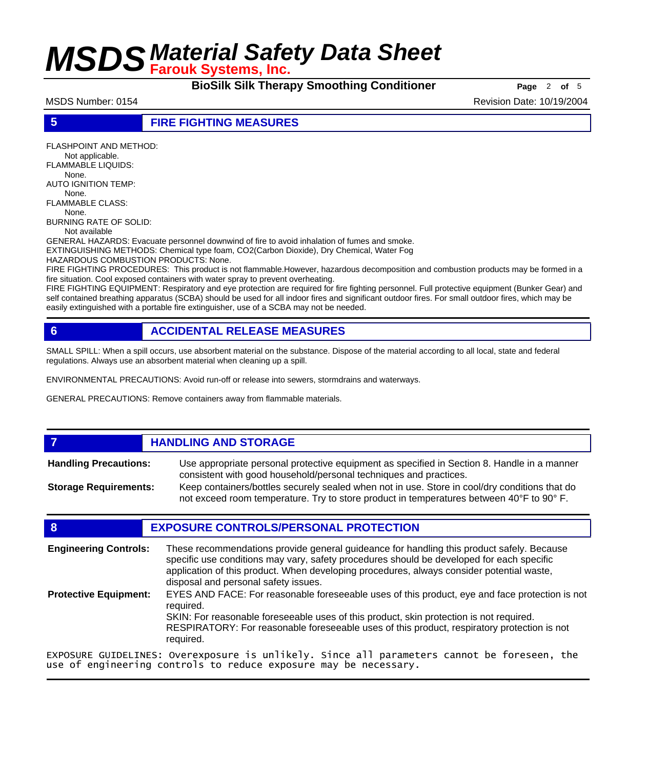**BioSilk Silk Therapy Smoothing Conditioner Page** 2 of 5

MSDS Number: 0154 Revision Date: 10/19/2004

### **5 FIRE FIGHTING MEASURES**

FLASHPOINT AND METHOD: Not applicable. FLAMMABLE LIQUIDS: None. AUTO IGNITION TEMP: None. FLAMMABLE CLASS: None. BURNING RATE OF SOLID: Not available GENERAL HAZARDS: Evacuate personnel downwind of fire to avoid inhalation of fumes and smoke. EXTINGUISHING METHODS: Chemical type foam, CO2(Carbon Dioxide), Dry Chemical, Water Fog HAZARDOUS COMBUSTION PRODUCTS: None.

FIRE FIGHTING PROCEDURES: This product is not flammable.However, hazardous decomposition and combustion products may be formed in a fire situation. Cool exposed containers with water spray to prevent overheating.

FIRE FIGHTING EQUIPMENT: Respiratory and eye protection are required for fire fighting personnel. Full protective equipment (Bunker Gear) and self contained breathing apparatus (SCBA) should be used for all indoor fires and significant outdoor fires. For small outdoor fires, which may be easily extinguished with a portable fire extinguisher, use of a SCBA may not be needed.

## **6 ACCIDENTAL RELEASE MEASURES**

SMALL SPILL: When a spill occurs, use absorbent material on the substance. Dispose of the material according to all local, state and federal regulations. Always use an absorbent material when cleaning up a spill.

ENVIRONMENTAL PRECAUTIONS: Avoid run-off or release into sewers, stormdrains and waterways.

GENERAL PRECAUTIONS: Remove containers away from flammable materials.

## *HANDLING AND STORAGE*

Use appropriate personal protective equipment as specified in Section 8. Handle in a manner consistent with good household/personal techniques and practices. **Handling Precautions:** Keep containers/bottles securely sealed when not in use. Store in cool/dry conditions that do **Storage Requirements:**

not exceed room temperature. Try to store product in temperatures between 40°F to 90° F.

## **8 EXPOSURE CONTROLS/PERSONAL PROTECTION**

These recommendations provide general guideance for handling this product safely. Because specific use conditions may vary, safety procedures should be developed for each specific application of this product. When developing procedures, always consider potential waste, disposal and personal safety issues. **Engineering Controls:** EYES AND FACE: For reasonable foreseeable uses of this product, eye and face protection is not required. SKIN: For reasonable foreseeable uses of this product, skin protection is not required. RESPIRATORY: For reasonable foreseeable uses of this product, respiratory protection is not required. **Protective Equipment:** EXPOSURE GUIDELINES: Overexposure is unlikely. Since all parameters cannot be foreseen, the

use of engineering controls to reduce exposure may be necessary.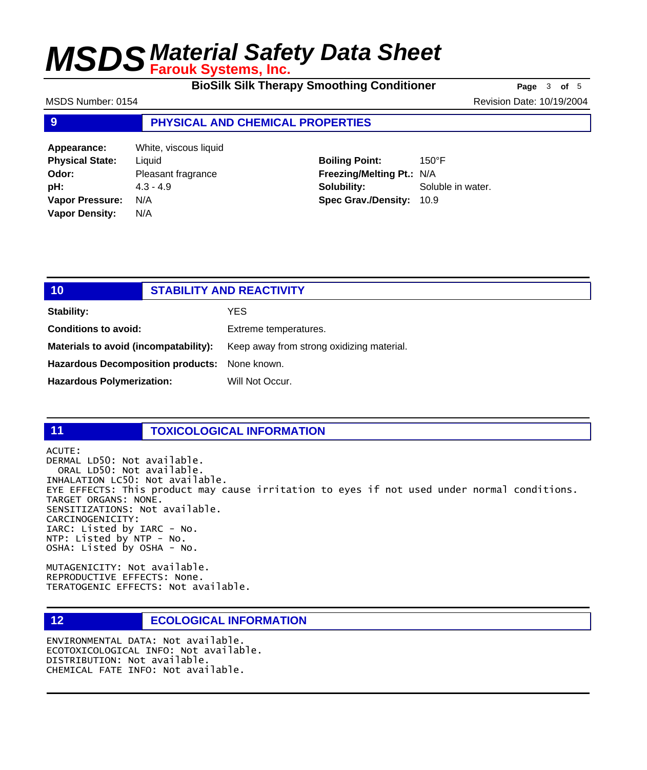**BioSilk Silk Therapy Smoothing Conditioner Page** 3 of 5

MSDS Number: 0154 Revision Date: 10/19/2004

## **9 PHYSICAL AND CHEMICAL PROPERTIES**

| Appearance:            | White, viscous liquid |
|------------------------|-----------------------|
| <b>Physical State:</b> | Liquid                |
| Odor:                  | Pleasant fragrance    |
| pH:                    | $4.3 - 4.9$           |
| <b>Vapor Pressure:</b> | N/A                   |
| <b>Vapor Density:</b>  | N/A                   |

**Boiling Point:** 150°F **Freezing/Melting Pt.:** N/A **Solubility:** Soluble in water. **Spec Grav./Density:** 10.9

| / 10/                                    | <b>STABILITY AND REACTIVITY</b> |                                           |
|------------------------------------------|---------------------------------|-------------------------------------------|
| Stability:                               |                                 | YES.                                      |
| <b>Conditions to avoid:</b>              |                                 | Extreme temperatures.                     |
| Materials to avoid (incompatability):    |                                 | Keep away from strong oxidizing material. |
| <b>Hazardous Decomposition products:</b> |                                 | None known.                               |
| <b>Hazardous Polymerization:</b>         |                                 | Will Not Occur.                           |

## **11 TOXICOLOGICAL INFORMATION**

ACUTE: DERMAL LD50: Not available. ORAL LD50: Not available. INHALATION LC50: Not available. EYE EFFECTS: This product may cause irritation to eyes if not used under normal conditions. TARGET ORGANS: NONE. SENSITIZATIONS: Not available. CARCINOGENICITY: IARC: Listed by IARC - No. NTP: Listed by NTP - No. OSHA: Listed by OSHA - No.

MUTAGENICITY: Not available. REPRODUCTIVE EFFECTS: None. TERATOGENIC EFFECTS: Not available.

## **12 ECOLOGICAL INFORMATION**

ENVIRONMENTAL DATA: Not available. ECOTOXICOLOGICAL INFO: Not available. DISTRIBUTION: Not available. CHEMICAL FATE INFO: Not available.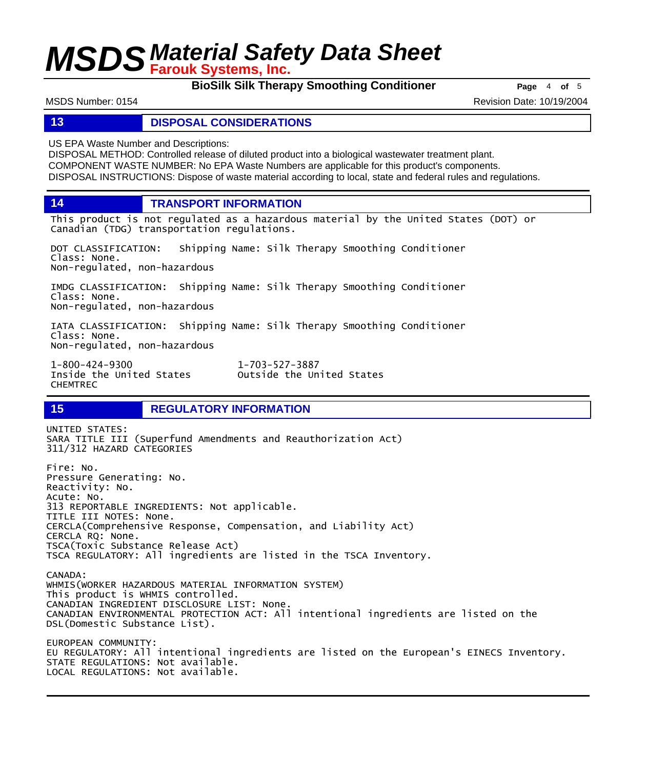**BioSilk Silk Therapy Smoothing Conditioner Page** <sup>4</sup> **of** <sup>5</sup>

MSDS Number: 0154 Revision Date: 10/19/2004

### **13 DISPOSAL CONSIDERATIONS**

US EPA Waste Number and Descriptions:

DISPOSAL METHOD: Controlled release of diluted product into a biological wastewater treatment plant. COMPONENT WASTE NUMBER: No EPA Waste Numbers are applicable for this product's components. DISPOSAL INSTRUCTIONS: Dispose of waste material according to local, state and federal rules and regulations.

**14 TRANSPORT INFORMATION**

This product is not regulated as a hazardous material by the United States (DOT) or Canadian (TDG) transportation regulations.

DOT CLASSIFICATION: Shipping Name: Silk Therapy Smoothing Conditioner Class: None. Non-regulated, non-hazardous

IMDG CLASSIFICATION: Shipping Name: Silk Therapy Smoothing Conditioner Class: None. Non-regulated, non-hazardous

IATA CLASSIFICATION: Shipping Name: Silk Therapy Smoothing Conditioner Class: None. Non-regulated, non-hazardous

1-800-424-9300 1-703-527-3887 CHEMTREC

Outside the United States

## **15 REGULATORY INFORMATION**

UNITED STATES: SARA TITLE III (Superfund Amendments and Reauthorization Act) 311/312 HAZARD CATEGORIES Fire: No. Pressure Generating: No. Reactivity: No. Acute: No. 313 REPORTABLE INGREDIENTS: Not applicable. TITLE III NOTES: None. CERCLA(Comprehensive Response, Compensation, and Liability Act) CERCLA RQ: None. TSCA(Toxic Substance Release Act) TSCA REGULATORY: All ingredients are listed in the TSCA Inventory. CANADA: WHMIS(WORKER HAZARDOUS MATERIAL INFORMATION SYSTEM) This product is WHMIS controlled. CANADIAN INGREDIENT DISCLOSURE LIST: None. CANADIAN ENVIRONMENTAL PROTECTION ACT: All intentional ingredients are listed on the DSL(Domestic Substance List). EUROPEAN COMMUNITY: EU REGULATORY: All intentional ingredients are listed on the European's EINECS Inventory. STATE REGULATIONS: Not available. LOCAL REGULATIONS: Not available.